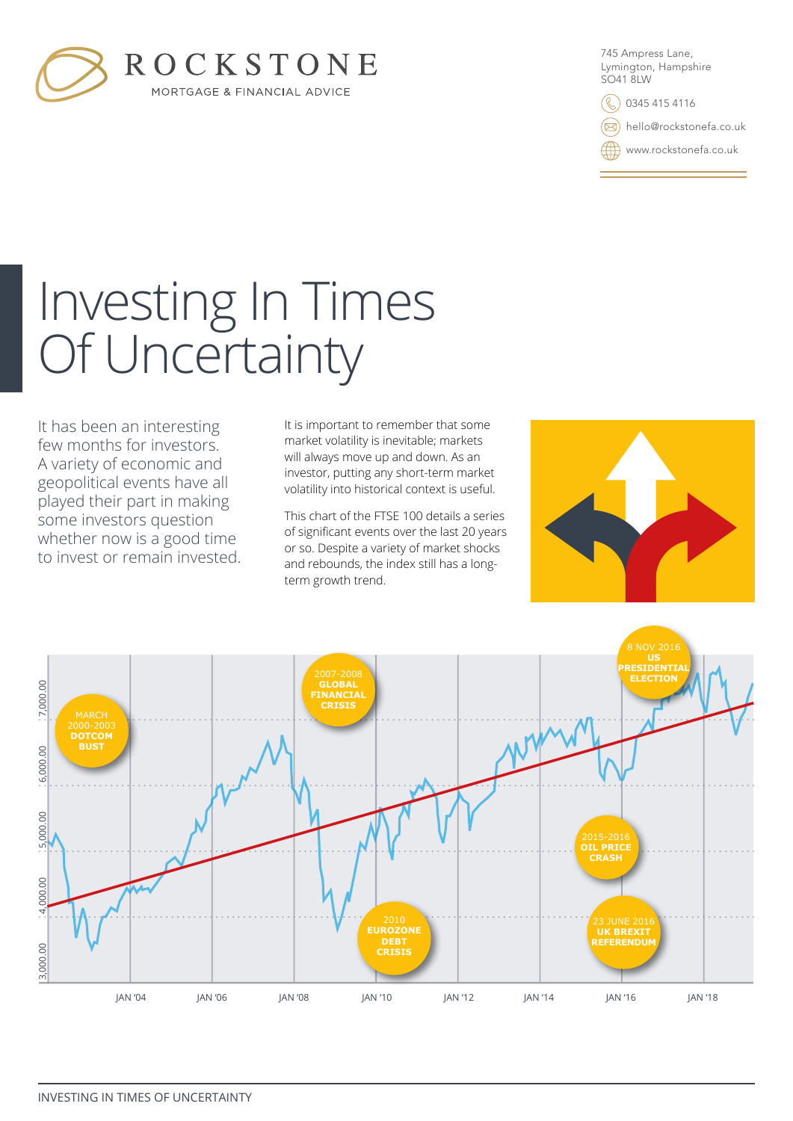

745 Ampress Lane, Lymington, Hampshire SO41 8LW

0345 415 4116

hello@rockstonefa.co.uk

www.rockstonefa.co.uk

# Investing In Times Of Uncertainty

It has been an interesting few months for investors. A variety of economic and geopolitical events have all played their part in making some investors question whether now is a good time to invest or remain invested.

It is important to remember that some market volatility is inevitable; markets will always move up and down. As an investor, putting any short-term market volatility into historical context is useful.

This chart of the FTSE 100 details a series of significant events over the last 20 years or so. Despite a variety of market shocks and rebounds, the index still has a longterm growth trend.